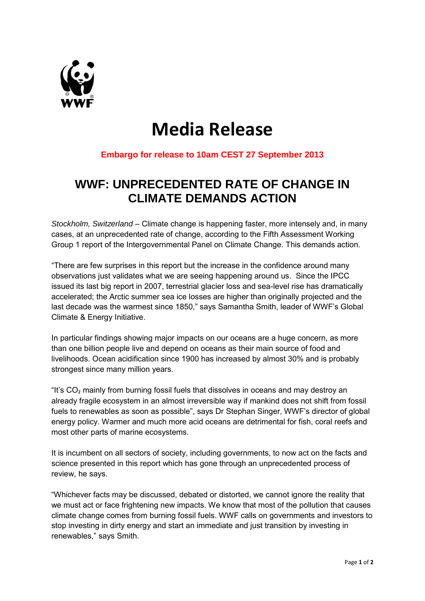

# **Media Release**

### **Embargo for release to 10am CEST 27 September 2013**

## **WWF: UNPRECEDENTED RATE OF CHANGE IN CLIMATE DEMANDS ACTION**

*Stockholm, Switzerland* – Climate change is happening faster, more intensely and, in many cases, at an unprecedented rate of change, according to the Fifth Assessment Working Group 1 report of the Intergovernmental Panel on Climate Change. This demands action.

"There are few surprises in this report but the increase in the confidence around many observations just validates what we are seeing happening around us. Since the IPCC issued its last big report in 2007, terrestrial glacier loss and sea-level rise has dramatically accelerated; the Arctic summer sea ice losses are higher than originally projected and the last decade was the warmest since 1850," says Samantha Smith, leader of WWF's Global Climate & Energy Initiative.

In particular findings showing major impacts on our oceans are a huge concern, as more than one billion people live and depend on oceans as their main source of food and livelihoods. Ocean acidification since 1900 has increased by almost 30% and is probably strongest since many million years.

"It's CO₂ mainly from burning fossil fuels that dissolves in oceans and may destroy an already fragile ecosystem in an almost irreversible way if mankind does not shift from fossil fuels to renewables as soon as possible", says Dr Stephan Singer, WWF's director of global energy policy. Warmer and much more acid oceans are detrimental for fish, coral reefs and most other parts of marine ecosystems.

It is incumbent on all sectors of society, including governments, to now act on the facts and science presented in this report which has gone through an unprecedented process of review, he says.

"Whichever facts may be discussed, debated or distorted, we cannot ignore the reality that we must act or face frightening new impacts. We know that most of the pollution that causes climate change comes from burning fossil fuels. WWF calls on governments and investors to stop investing in dirty energy and start an immediate and just transition by investing in renewables," says Smith.